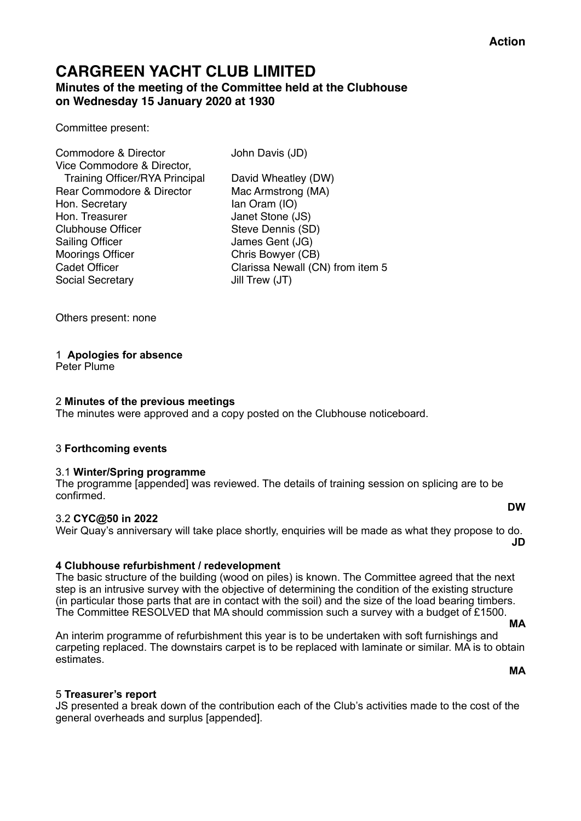## **CARGREEN YACHT CLUB LIMITED Minutes of the meeting of the Committee held at the Clubhouse on Wednesday 15 January 2020 at 1930**

Committee present:

| Commodore & Director                  | John Davis (JD)                  |
|---------------------------------------|----------------------------------|
| Vice Commodore & Director,            |                                  |
| <b>Training Officer/RYA Principal</b> | David Wheatley (DW)              |
| Rear Commodore & Director             | Mac Armstrong (MA)               |
| Hon. Secretary                        | Ian Oram (IO)                    |
| Hon. Treasurer                        | Janet Stone (JS)                 |
| <b>Clubhouse Officer</b>              | Steve Dennis (SD)                |
| <b>Sailing Officer</b>                | James Gent (JG)                  |
| <b>Moorings Officer</b>               | Chris Bowyer (CB)                |
| <b>Cadet Officer</b>                  | Clarissa Newall (CN) from item 5 |
| <b>Social Secretary</b>               | Jill Trew (JT)                   |
|                                       |                                  |

Others present: none

#### 1 **Apologies for absence**

Peter Plume

#### 2 **Minutes of the previous meetings**

The minutes were approved and a copy posted on the Clubhouse noticeboard.

#### 3 **Forthcoming events**

#### 3.1 **Winter/Spring programme**

The programme [appended] was reviewed. The details of training session on splicing are to be confirmed. **DW** 

#### 3.2 **CYC@50 in 2022**

## Weir Quay's anniversary will take place shortly, enquiries will be made as what they propose to do.

**JD** 

#### **4 Clubhouse refurbishment / redevelopment**

The basic structure of the building (wood on piles) is known. The Committee agreed that the next step is an intrusive survey with the objective of determining the condition of the existing structure (in particular those parts that are in contact with the soil) and the size of the load bearing timbers. The Committee RESOLVED that MA should commission such a survey with a budget of £1500.

An interim programme of refurbishment this year is to be undertaken with soft furnishings and carpeting replaced. The downstairs carpet is to be replaced with laminate or similar. MA is to obtain estimates.

**MA** 

#### 5 **Treasurer's report**

JS presented a break down of the contribution each of the Club's activities made to the cost of the general overheads and surplus [appended].

**MA**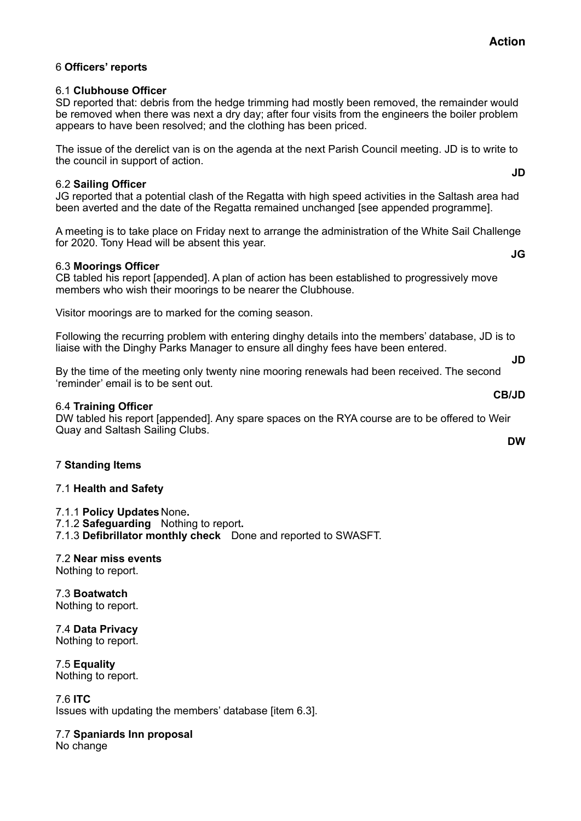**JD** 

**JG** 

## 6 **Officers' reports**

### 6.1 **Clubhouse Officer**

SD reported that: debris from the hedge trimming had mostly been removed, the remainder would be removed when there was next a dry day; after four visits from the engineers the boiler problem appears to have been resolved; and the clothing has been priced.

The issue of the derelict van is on the agenda at the next Parish Council meeting. JD is to write to the council in support of action.

### 6.2 **Sailing Officer**

JG reported that a potential clash of the Regatta with high speed activities in the Saltash area had been averted and the date of the Regatta remained unchanged [see appended programme].

A meeting is to take place on Friday next to arrange the administration of the White Sail Challenge for 2020. Tony Head will be absent this year.

#### 6.3 **Moorings Officer**

CB tabled his report [appended]. A plan of action has been established to progressively move members who wish their moorings to be nearer the Clubhouse.

Visitor moorings are to marked for the coming season.

Following the recurring problem with entering dinghy details into the members' database, JD is to liaise with the Dinghy Parks Manager to ensure all dinghy fees have been entered. **JD** 

By the time of the meeting only twenty nine mooring renewals had been received. The second 'reminder' email is to be sent out.

## 6.4 **Training Officer**

DW tabled his report [appended]. Any spare spaces on the RYA course are to be offered to Weir Quay and Saltash Sailing Clubs.

## 7 **Standing Items**

#### 7.1 **Health and Safety**

7.1.1 **Policy Updates** None**.**  7.1.2 **Safeguarding** Nothing to report**.**  7.1.3 **Defibrillator monthly check** Done and reported to SWASFT.

# 7.2 **Near miss events**

Nothing to report.

7.3 **Boatwatch**  Nothing to report.

7.4 **Data Privacy**  Nothing to report.

7.5 **Equality**  Nothing to report.

7.6 **ITC**  Issues with updating the members' database [item 6.3].

## 7.7 **Spaniards Inn proposal**

No change

**CB/JD** 

**DW**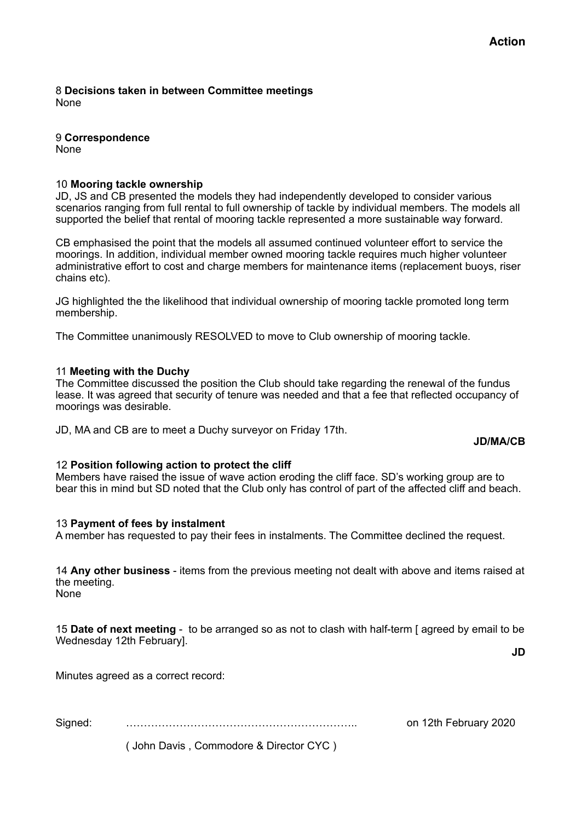8 **Decisions taken in between Committee meetings**  None

9 **Correspondence**  None

### 10 **Mooring tackle ownership**

JD, JS and CB presented the models they had independently developed to consider various scenarios ranging from full rental to full ownership of tackle by individual members. The models all supported the belief that rental of mooring tackle represented a more sustainable way forward.

CB emphasised the point that the models all assumed continued volunteer effort to service the moorings. In addition, individual member owned mooring tackle requires much higher volunteer administrative effort to cost and charge members for maintenance items (replacement buoys, riser chains etc).

JG highlighted the the likelihood that individual ownership of mooring tackle promoted long term membership.

The Committee unanimously RESOLVED to move to Club ownership of mooring tackle.

#### 11 **Meeting with the Duchy**

The Committee discussed the position the Club should take regarding the renewal of the fundus lease. It was agreed that security of tenure was needed and that a fee that reflected occupancy of moorings was desirable.

JD, MA and CB are to meet a Duchy surveyor on Friday 17th.

#### **JD/MA/CB**

#### 12 **Position following action to protect the cliff**

Members have raised the issue of wave action eroding the cliff face. SD's working group are to bear this in mind but SD noted that the Club only has control of part of the affected cliff and beach.

#### 13 **Payment of fees by instalment**

A member has requested to pay their fees in instalments. The Committee declined the request.

14 **Any other business** - items from the previous meeting not dealt with above and items raised at the meeting. None

15 **Date of next meeting** - to be arranged so as not to clash with half-term [ agreed by email to be Wednesday 12th February].

**JD** 

Minutes agreed as a correct record:

Signed: ……………………………………………………….. on 12th February 2020

( John Davis , Commodore & Director CYC )